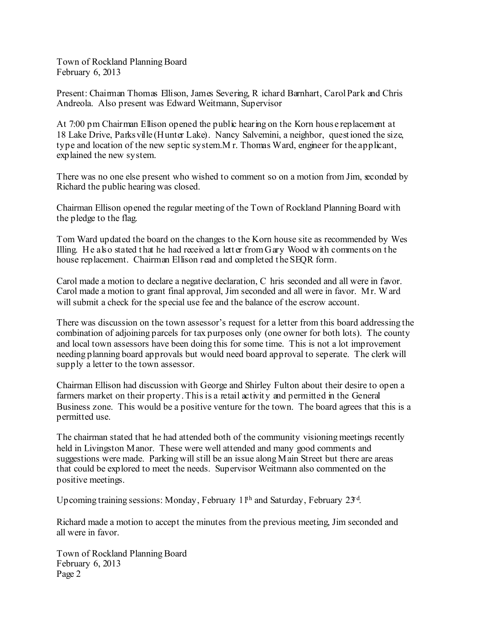Town of Rockland Planning Board February 6, 2013

Present: Chairman Thomas Ellison, James Severing, R ichard Barnhart, Carol Park and Chris Andreola. Also present was Edward Weitmann, Supervisor

At 7:00 pm Chairman Ellison opened the public hearing on the Korn house replacement at 18 Lake Drive, Parksville (Hunter Lake). Nancy Salvemini, a neighbor, questioned the size, type and location of the new septic system.M r. Thomas Ward, engineer for the applicant, explained the new system.

There was no one else present who wished to comment so on a motion from Jim, seconded by Richard the public hearing was closed.

Chairman Ellison opened the regular meeting of the Town of Rockland Planning Board with the pledge to the flag.

Tom Ward updated the board on the changes to the Korn house site as recommended by Wes Illing. He also stated that he had received a letter from  $G$ ary Wood with comments on the house replacement. Chairman Ellison read and completed the SEOR form.

Carol made a motion to declare a negative declaration, C hris seconded and all were in favor. Carol made a motion to grant final approval, Jim seconded and all were in favor. Mr. Ward will submit a check for the special use fee and the balance of the escrow account.

There was discussion on the town assessor's request for a letter from this board addressing the combination of adjoining parcels for tax purposes only (one owner for both lots). The county and local town assessors have been doing this for some time. This is not a lot improvement needing planning board approvals but would need board approval to seperate. The clerk will supply a letter to the town assessor.

Chairman Ellison had discussion with George and Shirley Fulton about their desire to open a farmers market on their property. This is a retail activity and permitted in the General Business zone. This would be a positive venture for the town. The board agrees that this is a permitted use.

The chairman stated that he had attended both of the community visioning meetings recently held in Livingston Manor. These were well attended and many good comments and suggestions were made. Parking will still be an issue along Main Street but there are areas that could be explored to meet the needs. Supervisor Weitmann also commented on the positive meetings.

Upcoming training sessions: Monday, February 1<sup>th</sup> and Saturday, February 23<sup>d</sup>.

Richard made a motion to accept the minutes from the previous meeting, Jim seconded and all were in favor.

Town of Rockland Planning Board February 6, 2013 Page 2